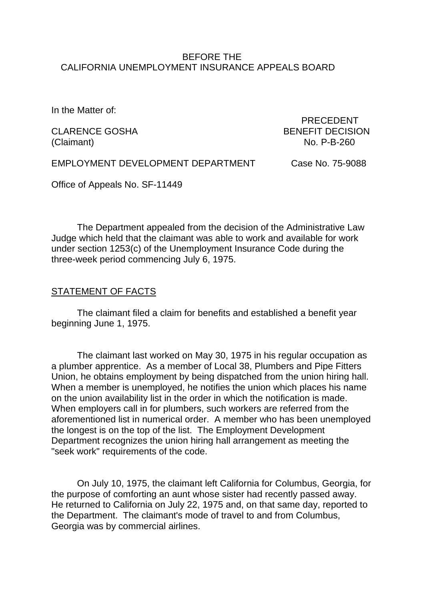## BEFORE THE CALIFORNIA UNEMPLOYMENT INSURANCE APPEALS BOARD

In the Matter of:

(Claimant) No. P-B-260

 PRECEDENT CLARENCE GOSHA BENEFIT DECISION

EMPLOYMENT DEVELOPMENT DEPARTMENT Case No. 75-9088

Office of Appeals No. SF-11449

The Department appealed from the decision of the Administrative Law Judge which held that the claimant was able to work and available for work under section 1253(c) of the Unemployment Insurance Code during the three-week period commencing July 6, 1975.

# STATEMENT OF FACTS

The claimant filed a claim for benefits and established a benefit year beginning June 1, 1975.

The claimant last worked on May 30, 1975 in his regular occupation as a plumber apprentice. As a member of Local 38, Plumbers and Pipe Fitters Union, he obtains employment by being dispatched from the union hiring hall. When a member is unemployed, he notifies the union which places his name on the union availability list in the order in which the notification is made. When employers call in for plumbers, such workers are referred from the aforementioned list in numerical order. A member who has been unemployed the longest is on the top of the list. The Employment Development Department recognizes the union hiring hall arrangement as meeting the "seek work" requirements of the code.

On July 10, 1975, the claimant left California for Columbus, Georgia, for the purpose of comforting an aunt whose sister had recently passed away. He returned to California on July 22, 1975 and, on that same day, reported to the Department. The claimant's mode of travel to and from Columbus, Georgia was by commercial airlines.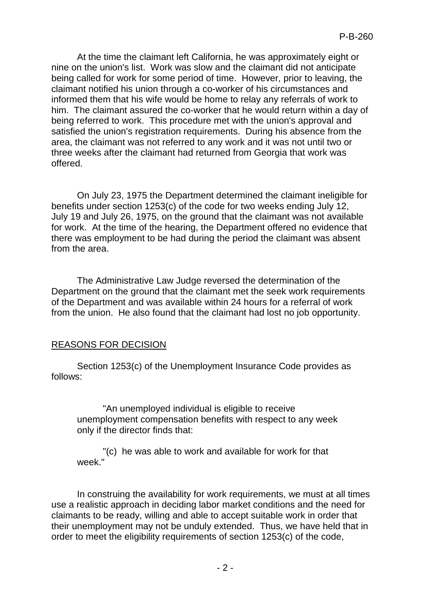At the time the claimant left California, he was approximately eight or nine on the union's list. Work was slow and the claimant did not anticipate being called for work for some period of time. However, prior to leaving, the claimant notified his union through a co-worker of his circumstances and informed them that his wife would be home to relay any referrals of work to him. The claimant assured the co-worker that he would return within a day of being referred to work. This procedure met with the union's approval and satisfied the union's registration requirements. During his absence from the area, the claimant was not referred to any work and it was not until two or three weeks after the claimant had returned from Georgia that work was offered.

On July 23, 1975 the Department determined the claimant ineligible for benefits under section 1253(c) of the code for two weeks ending July 12, July 19 and July 26, 1975, on the ground that the claimant was not available for work. At the time of the hearing, the Department offered no evidence that there was employment to be had during the period the claimant was absent from the area.

The Administrative Law Judge reversed the determination of the Department on the ground that the claimant met the seek work requirements of the Department and was available within 24 hours for a referral of work from the union. He also found that the claimant had lost no job opportunity.

# REASONS FOR DECISION

Section 1253(c) of the Unemployment Insurance Code provides as follows:

"An unemployed individual is eligible to receive unemployment compensation benefits with respect to any week only if the director finds that:

"(c) he was able to work and available for work for that week<sup>"</sup>

In construing the availability for work requirements, we must at all times use a realistic approach in deciding labor market conditions and the need for claimants to be ready, willing and able to accept suitable work in order that their unemployment may not be unduly extended. Thus, we have held that in order to meet the eligibility requirements of section 1253(c) of the code,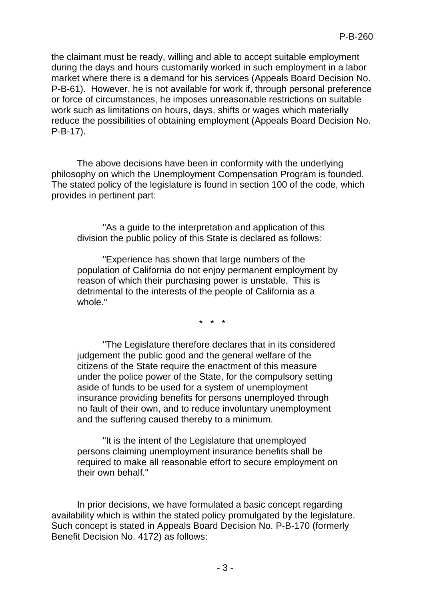the claimant must be ready, willing and able to accept suitable employment during the days and hours customarily worked in such employment in a labor market where there is a demand for his services (Appeals Board Decision No. P-B-61). However, he is not available for work if, through personal preference or force of circumstances, he imposes unreasonable restrictions on suitable work such as limitations on hours, days, shifts or wages which materially reduce the possibilities of obtaining employment (Appeals Board Decision No. P-B-17).

The above decisions have been in conformity with the underlying philosophy on which the Unemployment Compensation Program is founded. The stated policy of the legislature is found in section 100 of the code, which provides in pertinent part:

"As a guide to the interpretation and application of this division the public policy of this State is declared as follows:

"Experience has shown that large numbers of the population of California do not enjoy permanent employment by reason of which their purchasing power is unstable. This is detrimental to the interests of the people of California as a whole."

\* \* \*

"The Legislature therefore declares that in its considered judgement the public good and the general welfare of the citizens of the State require the enactment of this measure under the police power of the State, for the compulsory setting aside of funds to be used for a system of unemployment insurance providing benefits for persons unemployed through no fault of their own, and to reduce involuntary unemployment and the suffering caused thereby to a minimum.

"It is the intent of the Legislature that unemployed persons claiming unemployment insurance benefits shall be required to make all reasonable effort to secure employment on their own behalf."

In prior decisions, we have formulated a basic concept regarding availability which is within the stated policy promulgated by the legislature. Such concept is stated in Appeals Board Decision No. P-B-170 (formerly Benefit Decision No. 4172) as follows: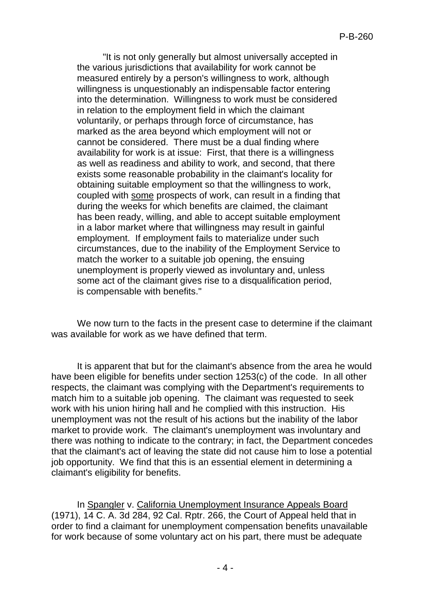"It is not only generally but almost universally accepted in the various jurisdictions that availability for work cannot be measured entirely by a person's willingness to work, although willingness is unquestionably an indispensable factor entering into the determination. Willingness to work must be considered in relation to the employment field in which the claimant voluntarily, or perhaps through force of circumstance, has marked as the area beyond which employment will not or cannot be considered. There must be a dual finding where availability for work is at issue: First, that there is a willingness as well as readiness and ability to work, and second, that there exists some reasonable probability in the claimant's locality for obtaining suitable employment so that the willingness to work, coupled with some prospects of work, can result in a finding that during the weeks for which benefits are claimed, the claimant has been ready, willing, and able to accept suitable employment in a labor market where that willingness may result in gainful employment. If employment fails to materialize under such circumstances, due to the inability of the Employment Service to match the worker to a suitable job opening, the ensuing unemployment is properly viewed as involuntary and, unless some act of the claimant gives rise to a disqualification period, is compensable with benefits."

We now turn to the facts in the present case to determine if the claimant was available for work as we have defined that term.

It is apparent that but for the claimant's absence from the area he would have been eligible for benefits under section 1253(c) of the code. In all other respects, the claimant was complying with the Department's requirements to match him to a suitable job opening. The claimant was requested to seek work with his union hiring hall and he complied with this instruction. His unemployment was not the result of his actions but the inability of the labor market to provide work. The claimant's unemployment was involuntary and there was nothing to indicate to the contrary; in fact, the Department concedes that the claimant's act of leaving the state did not cause him to lose a potential job opportunity. We find that this is an essential element in determining a claimant's eligibility for benefits.

In Spangler v. California Unemployment Insurance Appeals Board (1971), 14 C. A. 3d 284, 92 Cal. Rptr. 266, the Court of Appeal held that in order to find a claimant for unemployment compensation benefits unavailable for work because of some voluntary act on his part, there must be adequate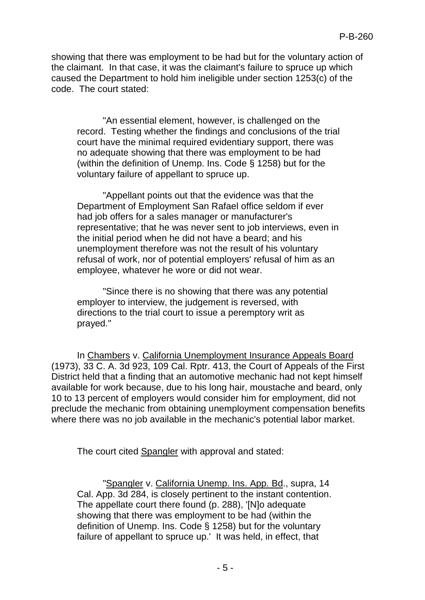showing that there was employment to be had but for the voluntary action of the claimant. In that case, it was the claimant's failure to spruce up which caused the Department to hold him ineligible under section 1253(c) of the code. The court stated:

"An essential element, however, is challenged on the record. Testing whether the findings and conclusions of the trial court have the minimal required evidentiary support, there was no adequate showing that there was employment to be had (within the definition of Unemp. Ins. Code § 1258) but for the voluntary failure of appellant to spruce up.

"Appellant points out that the evidence was that the Department of Employment San Rafael office seldom if ever had job offers for a sales manager or manufacturer's representative; that he was never sent to job interviews, even in the initial period when he did not have a beard; and his unemployment therefore was not the result of his voluntary refusal of work, nor of potential employers' refusal of him as an employee, whatever he wore or did not wear.

"Since there is no showing that there was any potential employer to interview, the judgement is reversed, with directions to the trial court to issue a peremptory writ as prayed."

In Chambers v. California Unemployment Insurance Appeals Board (1973), 33 C. A. 3d 923, 109 Cal. Rptr. 413, the Court of Appeals of the First District held that a finding that an automotive mechanic had not kept himself available for work because, due to his long hair, moustache and beard, only 10 to 13 percent of employers would consider him for employment, did not preclude the mechanic from obtaining unemployment compensation benefits where there was no job available in the mechanic's potential labor market.

The court cited Spangler with approval and stated:

"Spangler v. California Unemp. Ins. App. Bd., supra, 14 Cal. App. 3d 284, is closely pertinent to the instant contention. The appellate court there found (p. 288), '[N]o adequate showing that there was employment to be had (within the definition of Unemp. Ins. Code § 1258) but for the voluntary failure of appellant to spruce up.' It was held, in effect, that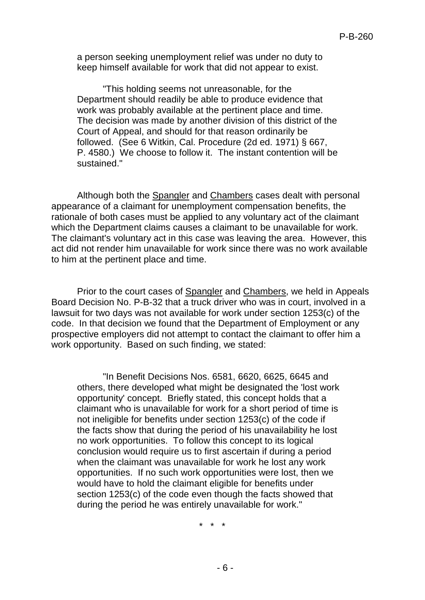a person seeking unemployment relief was under no duty to keep himself available for work that did not appear to exist.

"This holding seems not unreasonable, for the Department should readily be able to produce evidence that work was probably available at the pertinent place and time. The decision was made by another division of this district of the Court of Appeal, and should for that reason ordinarily be followed. (See 6 Witkin, Cal. Procedure (2d ed. 1971) § 667, P. 4580.) We choose to follow it. The instant contention will be sustained."

Although both the Spangler and Chambers cases dealt with personal appearance of a claimant for unemployment compensation benefits, the rationale of both cases must be applied to any voluntary act of the claimant which the Department claims causes a claimant to be unavailable for work. The claimant's voluntary act in this case was leaving the area. However, this act did not render him unavailable for work since there was no work available to him at the pertinent place and time.

Prior to the court cases of Spangler and Chambers, we held in Appeals Board Decision No. P-B-32 that a truck driver who was in court, involved in a lawsuit for two days was not available for work under section 1253(c) of the code. In that decision we found that the Department of Employment or any prospective employers did not attempt to contact the claimant to offer him a work opportunity. Based on such finding, we stated:

"In Benefit Decisions Nos. 6581, 6620, 6625, 6645 and others, there developed what might be designated the 'lost work opportunity' concept. Briefly stated, this concept holds that a claimant who is unavailable for work for a short period of time is not ineligible for benefits under section 1253(c) of the code if the facts show that during the period of his unavailability he lost no work opportunities. To follow this concept to its logical conclusion would require us to first ascertain if during a period when the claimant was unavailable for work he lost any work opportunities. If no such work opportunities were lost, then we would have to hold the claimant eligible for benefits under section 1253(c) of the code even though the facts showed that during the period he was entirely unavailable for work."

\* \* \*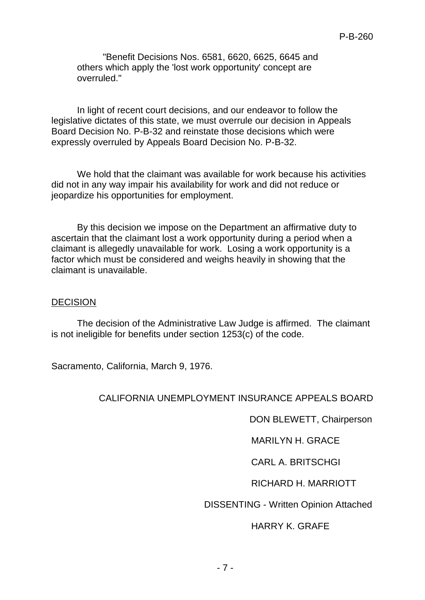"Benefit Decisions Nos. 6581, 6620, 6625, 6645 and others which apply the 'lost work opportunity' concept are overruled."

In light of recent court decisions, and our endeavor to follow the legislative dictates of this state, we must overrule our decision in Appeals Board Decision No. P-B-32 and reinstate those decisions which were expressly overruled by Appeals Board Decision No. P-B-32.

We hold that the claimant was available for work because his activities did not in any way impair his availability for work and did not reduce or jeopardize his opportunities for employment.

By this decision we impose on the Department an affirmative duty to ascertain that the claimant lost a work opportunity during a period when a claimant is allegedly unavailable for work. Losing a work opportunity is a factor which must be considered and weighs heavily in showing that the claimant is unavailable.

#### **DECISION**

The decision of the Administrative Law Judge is affirmed. The claimant is not ineligible for benefits under section 1253(c) of the code.

Sacramento, California, March 9, 1976.

## CALIFORNIA UNEMPLOYMENT INSURANCE APPEALS BOARD

DON BLEWETT, Chairperson

MARILYN H. GRACE

CARL A. BRITSCHGI

## RICHARD H. MARRIOTT

DISSENTING - Written Opinion Attached

## HARRY K. GRAFE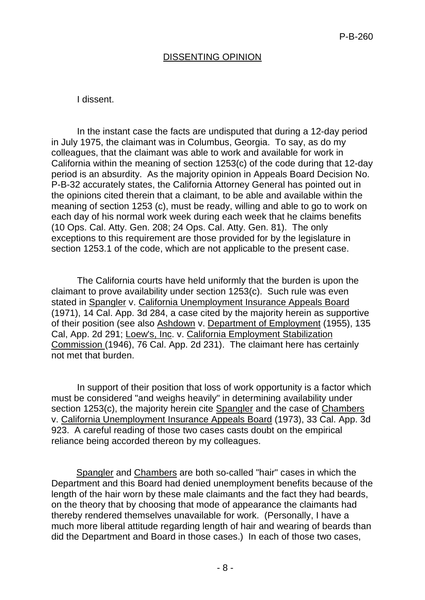# DISSENTING OPINION

## I dissent.

In the instant case the facts are undisputed that during a 12-day period in July 1975, the claimant was in Columbus, Georgia. To say, as do my colleagues, that the claimant was able to work and available for work in California within the meaning of section 1253(c) of the code during that 12-day period is an absurdity. As the majority opinion in Appeals Board Decision No. P-B-32 accurately states, the California Attorney General has pointed out in the opinions cited therein that a claimant, to be able and available within the meaning of section 1253 (c), must be ready, willing and able to go to work on each day of his normal work week during each week that he claims benefits (10 Ops. Cal. Atty. Gen. 208; 24 Ops. Cal. Atty. Gen. 81). The only exceptions to this requirement are those provided for by the legislature in section 1253.1 of the code, which are not applicable to the present case.

The California courts have held uniformly that the burden is upon the claimant to prove availability under section 1253(c). Such rule was even stated in Spangler v. California Unemployment Insurance Appeals Board (1971), 14 Cal. App. 3d 284, a case cited by the majority herein as supportive of their position (see also Ashdown v. Department of Employment (1955), 135 Cal, App. 2d 291; Loew's, Inc. v. California Employment Stabilization Commission (1946), 76 Cal. App. 2d 231). The claimant here has certainly not met that burden.

In support of their position that loss of work opportunity is a factor which must be considered "and weighs heavily" in determining availability under section 1253(c), the majority herein cite Spangler and the case of Chambers v. California Unemployment Insurance Appeals Board (1973), 33 Cal. App. 3d 923. A careful reading of those two cases casts doubt on the empirical reliance being accorded thereon by my colleagues.

Spangler and Chambers are both so-called "hair" cases in which the Department and this Board had denied unemployment benefits because of the length of the hair worn by these male claimants and the fact they had beards, on the theory that by choosing that mode of appearance the claimants had thereby rendered themselves unavailable for work. (Personally, I have a much more liberal attitude regarding length of hair and wearing of beards than did the Department and Board in those cases.) In each of those two cases,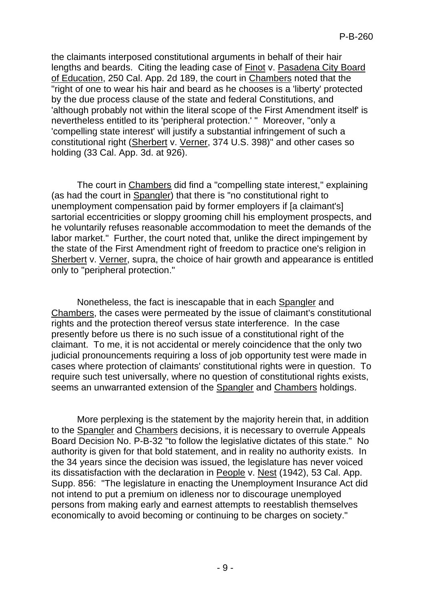the claimants interposed constitutional arguments in behalf of their hair lengths and beards. Citing the leading case of Finot v. Pasadena City Board of Education, 250 Cal. App. 2d 189, the court in Chambers noted that the "right of one to wear his hair and beard as he chooses is a 'liberty' protected by the due process clause of the state and federal Constitutions, and 'although probably not within the literal scope of the First Amendment itself' is nevertheless entitled to its 'peripheral protection.' " Moreover, "only a 'compelling state interest' will justify a substantial infringement of such a constitutional right (Sherbert v. Verner, 374 U.S. 398)" and other cases so holding (33 Cal. App. 3d. at 926).

The court in Chambers did find a "compelling state interest," explaining (as had the court in Spangler) that there is "no constitutional right to unemployment compensation paid by former employers if [a claimant's] sartorial eccentricities or sloppy grooming chill his employment prospects, and he voluntarily refuses reasonable accommodation to meet the demands of the labor market." Further, the court noted that, unlike the direct impingement by the state of the First Amendment right of freedom to practice one's religion in Sherbert v. Verner, supra, the choice of hair growth and appearance is entitled only to "peripheral protection."

Nonetheless, the fact is inescapable that in each Spangler and Chambers, the cases were permeated by the issue of claimant's constitutional rights and the protection thereof versus state interference. In the case presently before us there is no such issue of a constitutional right of the claimant. To me, it is not accidental or merely coincidence that the only two judicial pronouncements requiring a loss of job opportunity test were made in cases where protection of claimants' constitutional rights were in question. To require such test universally, where no question of constitutional rights exists, seems an unwarranted extension of the Spangler and Chambers holdings.

More perplexing is the statement by the majority herein that, in addition to the Spangler and Chambers decisions, it is necessary to overrule Appeals Board Decision No. P-B-32 "to follow the legislative dictates of this state." No authority is given for that bold statement, and in reality no authority exists. In the 34 years since the decision was issued, the legislature has never voiced its dissatisfaction with the declaration in People v. Nest (1942), 53 Cal. App. Supp. 856: "The legislature in enacting the Unemployment Insurance Act did not intend to put a premium on idleness nor to discourage unemployed persons from making early and earnest attempts to reestablish themselves economically to avoid becoming or continuing to be charges on society."